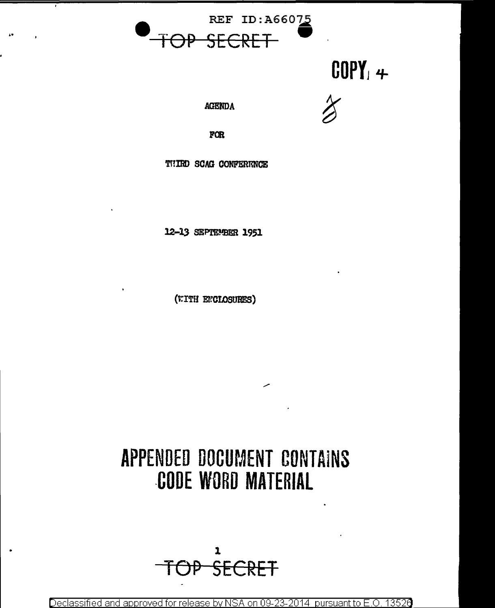

# $COPY_1 +$

**AGENDA** 

FOR

THIRD SCAG CONFERENCE

12-13 SEPTEMBER 1951

(WITH ENCLOSURES)

# APPENDED DOCUMENT CONTAINS **CODE WORD MATERIAL**

 $\mathbf{r}$ SECRET

Declassified and approved for release by NSA on 09-23-2014 pursuant to E.O. 13526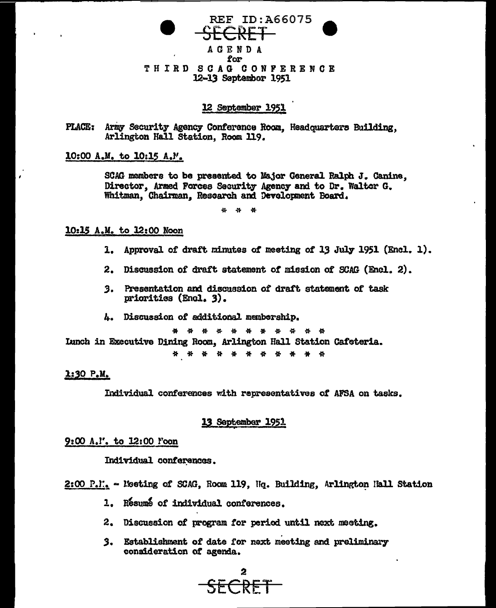

12 September 1951

PLACE: Army Security Agency Conference Room. Headquarters Building. Arlington Hall Station, Room 119.

10:00 A.M. to 10:15 A.M.

SCAG members to be presented to Major General Ralph J. Canine. Director, Armed Forces Security Agency and to Dr. Walter G. Whitman, Chairman, Rescarch and Development Board.

\* \* \*

# 10:15 A.M. to 12:00 Noon

- 1. Approval of draft minutes of meeting of 13 July 1951 (Encl. 1).
- 2. Discussion of draft statement of mission of SCAG (Encl. 2).
- 3. Presentation and discussion of draft statement of task priorities (Encl. 3).
- 4. Discussion of additional membership.

\* \* \* \* \* \* \* \* \* \* \* Ianch in Executive Dining Room, Arlington Hall Station Cafeteria.

\* \* \* \* \* \* \* \* \* \*

# 1:30 P.M.

Individual conferences with representatives of AFSA on tasks.

### 13 September 1951

### 9:00 A.I'. to 12:00 Foon

Individual conferences.

2:00 P.I. - Meeting of SCAG. Room 119. Hg. Building. Arlington Hall Station

- 1. Resume of individual conferences.
- 2. Discussion of program for period until next meeting.
- 3. Establishment of date for next meeting and preliminary consideration of agenda.

<del>SFCRET</del>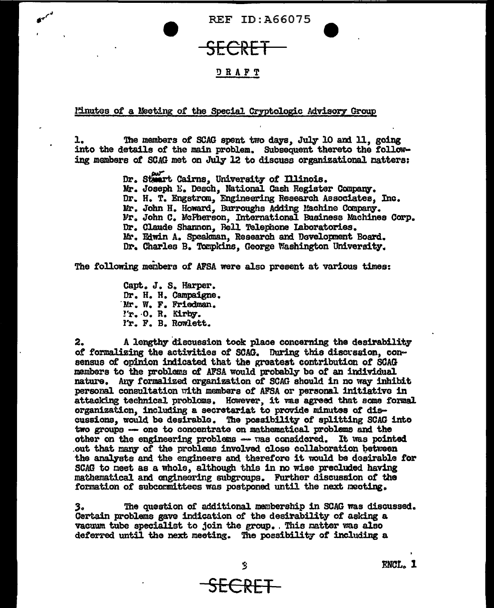

# DRAFT

Minutes of a Meeting of the Special Cryptologic Advisory Group

The members of SCAG spent two days, July 10 and 11, going 1. into the details of the main problem. Subsequent thereto the following members of SCAG met on July 12 to discuss organizational natters:

> Dr. Steart Cairns, University of Illinois. Mr. Joseph E. Desch. National Cash Register Company. Dr. H. T. Engstrom, Engineering Research Associates. Inc. Mr. John H. Howard. Burroughs Adding Machine Company. Mr. John C. McPherson, International Business Machines Corp. Dr. Claude Shannon. Bell Telephone Laboratories. Mr. Edwin A. Speakman, Research and Development Board. Dr. Charles B. Tompkins. George Washington University.

The following members of AFSA were also present at various times:

Capt. J. S. Harper. Dr. H. H. Campaigne. Mr. W. F. Friedman. 'r. O. R. Kirby. I'r. F. B. Rowlett.

2. A lengthy discussion took place concerning the desirability of formalizing the activities of SCAG. During this discussion, consensus of opinion indicated that the greatest contribution of SCAG mambers to the problems of AFSA would probably be of an individual nature. Any formalized organization of SCAG should in no way inhibit personal consultation with members of AFSA or personal initiative in attacking technical problems. However, it was agreed that some formal organization, including a secretariat to provide minutes of discussions, would be desirable. The possibility of splitting SCAG into two groups --- one to concentrate on mathematical problems and the other on the engineering problems - was considered. It was pointed out that many of the problems involved close collaboration between the analysts and the engineers and therefore it would be desirable for SCAG to meet as a whole, although this in no wise precluded having mathematical and engineering subgroups. Further discussion of the formation of subcommittees was postponed until the next meeting.

The question of additional membership in SCAG was discussed. 3. Certain problems gave indication of the desirability of asking a vacuum tube specialist to join the group. This matter was also deferred until the next meeting. The possibility of including a

ENCL. 1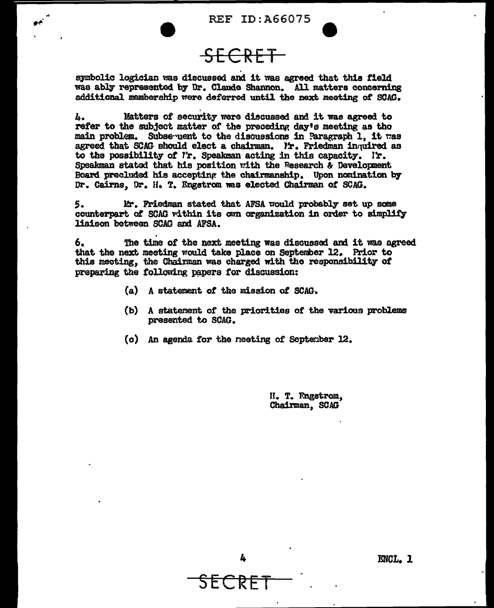REF ID:A66075

SECRET

symbolic logician was discussed and it was agreed that this field was ably represented by Dr. Claude Shannon. All matters concerning additional. membership were deferred until the next meeting of SOAG.

 $h$ . 11. Matters of security were discussed and it was agreed to refer to the subject matter of the preceding day's meeting as tho main problem. Subsequent to the discussions in Paragraph 1, it was agreed that SCAG should elect a chairman. Ir. Friedman inquired as to the possibility of  $l$ r. Speakman acting in this capacity. Ir. Speakman stated that his position with the Research & Development Board precluded his accepting the chairmanship. Upon nomination by Dr. Cairns, Dr. H. T. Engstrom was elected Chairman of SCAG.

5. J. J. Friedman stated that AFSA would probably set up some counterpart of SCAG vithin its own organization in order to simplify liaison between SCAG and AFSA.

6. The time of the next meeting was discussed and it was agreed that the next meeting would take place on September 12. Prior to this meeting, the Chairman was charged with the responsibility of preparing the following papers for discussion:

- (a} A statement of the mission *ot* SCAG.
- (b) A statement or the priorities of the various problems presented to SCAG.
- (c) An agenda for the neeting of September 12.

H. T. Engstrom. Chairman, SOAG



SECRET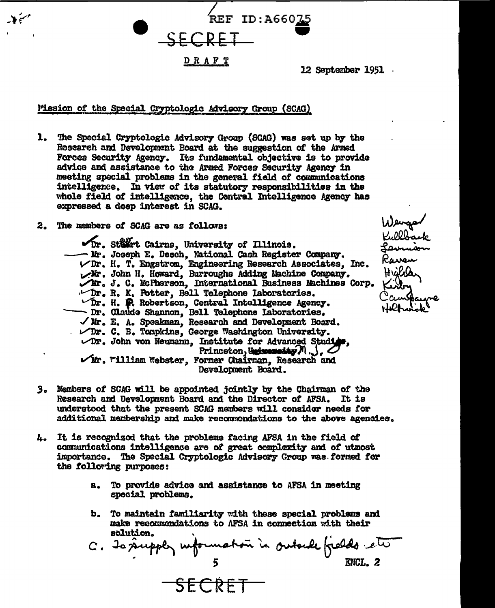

12 September 1951

Mission of the Special Cryptologic Advisory Group (SCAG)

- 1. The Special Cryptologic Advisory Group (SCAG) was set up by the Research and Development Board at the suggestion of the Armed Forces Security Agency. Its fundamental objective is to provide advice and assistance to the Armed Forces Security Agency in meeting special problems in the general field of communications intelligence. In view of its statutory responsibilities in the whole field of intelligence, the Central Intelligence Agency has expressed a doep interest in SCAG.
- The members of SCAG are as follows:  $2.$

Dr. Stärt Cairns, University of Illinois. - Mr. Joseph E. Desch. National Cash Register Company. VDr. H. T. Engstrom, Engineering Research Associates. Inc. Mr. John H. Howard, Burroughs Adding Machine Company. Mr. J. C. McPherson, International Business Machines Corp.  $\nu$ Dr. R. K. Potter, Bell Telephone Laboratories.  $\triangledown$ Dr. H. P. Robertson. Central Intelligence Agency. - Dr. Claude Shannon, Bell Telephone Laboratories. √ Mr. E. A. Speakman, Research and Development Board. . Dr. C. B. Tompkins, George Washington University. Dr. John von Neumann, Institute for Advanced Studi Princeton, Universality  $N$ .,  $\bigcirc$ Mr. William Webster, Former Chairman, Research and Development Board.

- 3. Members of SCAG will be appointed jointly by the Chairman of the Research and Development Board and the Director of AFSA. It is understood that the present SCAG members will consider needs for additional membership and make recommendations to the above agencies.
- It is recognized that the problems facing AFSA in the field of 4. communications intelligence are of great complexity and of utmost importance. The Special Cryptologic Advisory Group was formed for the following purposes:

SECRET

- 8. To provide advice and assistance to AFSA in meeting special problems.
- b. To maintain familiarity with these special problems and make recommendations to AFSA in connection with their solution.

C. To supply information in outside fields et

Wewgar<br>Kullbask<br>Levruoon Paven °cuw Holland to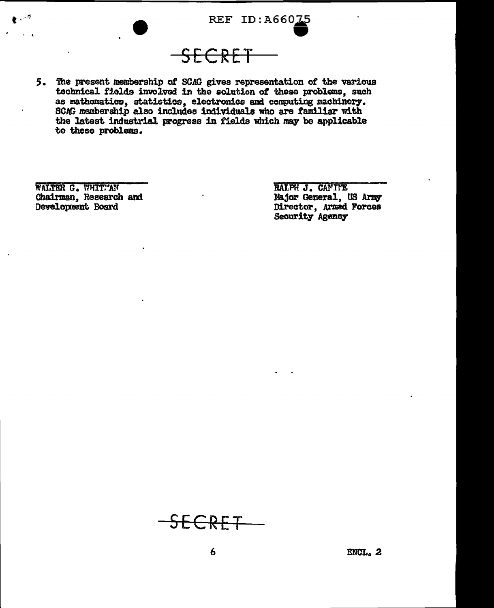

5. The present membership of SCAG gives representation of the various technical fields involved in the solution of these problems, such as mathematics, statistics, electronics and computing machinery.<br>SCAG membership also includes individuals who are familiar with the latest industrial progress in fields which may be applicable to these problems.

WALTER G. WHITPAN Chairman, Research and Development Board

 $\mathbf{r} \in \mathbb{R}^d$ 

RALPH J. CANTIE Major General, US Army Director, Armed Forces Security Agency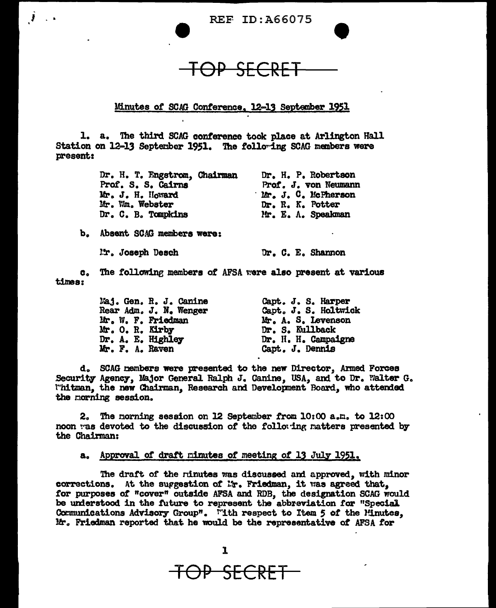**REF ID:A66075** 

<del>OP SECRET</del>

Minutes of SCAG Conference, 12-13 September 1951

1. a. The third SCAG conference took place at Arlington Hall Station on 12-13 September 1951. The following SCAG members were present:

> Dr. H. T. Engstrom, Chairman Dr. H. P. Robertson Prof. S. S. Cairns Prof. J. von Neumann ' Mr. J. C. McPherson Mr. J. H. Howard Mr. Wm. Webster Dr. R. K. Potter Dr. C. B. Tompkins Mr. E. A. Speakman

b. Absent SCAG members were:

Ir. Joseph Desch

Dr. C. E. Shannon

c. The following members of AFSA were also present at various times:

> Capt. J. S. Harper<br>Capt. J. S. Holtwick<br>Mr. A. S. Levenson<br>Dr. S. Kullback Maj. Gen. R. J. Canine Rear Adm. J. N. Wenger Mr. W. F. Friedman Mr. O. R. Kirby Dr. A. E. Highley Dr. H. H. Campaigne Mr. F. A. Raven Capt. J. Dennis

d. SCAG members were presented to the new Director, Armed Forces Security Agency, Major General Ralph J. Canine, USA, and to Dr. Walter G. l"hitman, the new Chairman, Research and Development Board, who attended the morning session.

2. The morning session on 12 September from 10:00 a.m. to 12:00 noon was devoted to the discussion of the following matters presented by the Chairman:

a. Approval of draft minutes of meeting of 13 July 1951.

The draft of the ninutes was discussed and approved, with minor corrections. At the suggestion of Mr. Friedman, it was agreed that. for purposes of "cover" outside AFSA and RDB, the designation SCAG would be understood in the future to represent the abbreviation for "Special Communications Advisory Group". "Ith respect to Item 5 of the Minutes, Mr. Friedman reported that he would be the representative of AFSA for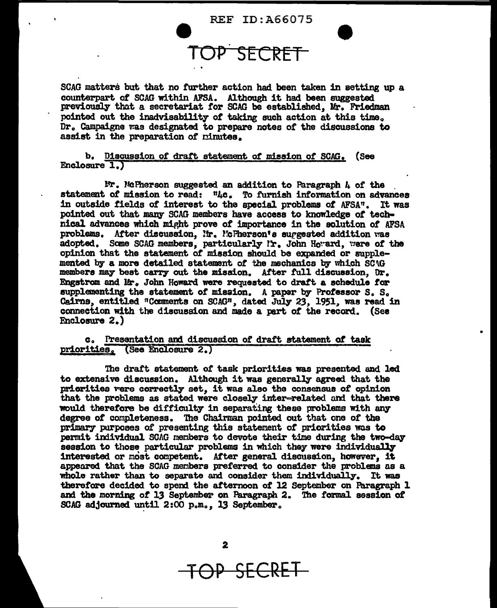REF ID:A66075

# e TOP. SECRET

SCAG matters but that no further action had been taken in setting up a counterpart of SCAG within AFSA. Although it had been suggested previously that a secretariat for SCAG be established. Mr. Friedman pointed out the inadvisability of taking such action at this time. Dr. Campaigne was designated to prepare notes of the discussions to assist in the preparation of *cinutes*.

b. Discussion of draft. statement *ot* mission *ot* SCAG. (See Enclosure 1.

 $lr.$  McPherson suggested an addition to Paragraph  $\mu$  of the statement of mission to read: "Lc. To furnish information on advances in outside fields of interest to the special problems of AFSA". It was pointed out that many SCAG members have access to knowledge of technical advances which might prove of importance in the solution of AFSA problems. After discussion. In. McPherson's surgested addition was adopted. Some SCAG members, particularly Ir. John Howard, were of the opinion that the statement of mission should be expamed or supplemented by a more detailed statement of the mechanics by which SC<sub>1G</sub> members may beat carry out the mission. After full discussion. Dr. Engstrom and Mr.. John Howard were requested to dratt a schedule *tor*  supplementing the statement of mission. A paper by Professor S. S. Cairns, entitled "Comments on SCAG", dated July 23, 1951, was read in connection with the discussion and made a part of the record. (See Enclosure 2.)

•

# Co Presentation an1 discuaeion *ot* dratt statement *ot* task priorities. (See Enclosure 2.)

The draft statement *ot* task priorities was presented and led to extensive discussion. Although it was generally agreed that the priorities vere correctly set, it was also the consensus of opinion that the problems as stated were closely inter-related and that there would therefore be difficulty in separating these problems with any degree of completeness. The Chairman pointed out that one of the primary purposes of presenting this statement of priorities was to permit individual SCAG members to devote their time during the two-day session to those particular problems in which they were individually interested or most competent. After general discussion, however, it appeared that the SCAG members preferred to consider the problems as a whole rather than to separate and consider them individually. It was therefore decided to spend the afternoon of 12 September on Paragraph  $1$ and the morning of 13 September on Paragraph 2. The formal session of SCAG adjourned until 2:00 p.m., 13 September.

TOP SECRET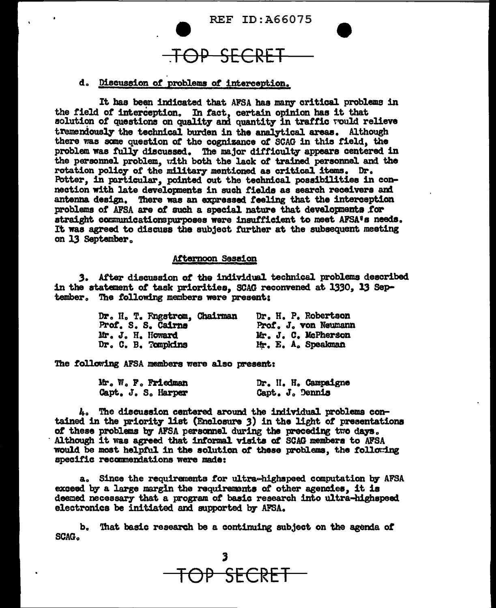

# d. Discussion of problems of interception.

It has been indicated that AFSA has many critical problems in the field of interception. In fact, certain opinion has it that solution of questions on quality and quantity in traffic would relieve tremendously the technical burden in the analytical areas. Although there was some question of the cognizance of SCAG in this field, the problem was fully discussed. The major difficulty appears centered in the personnel problem, with both the lack of trained personnel and the rotation policy of the military mentioned as critical items. Dr. Potter, in particular, pointed out the technical possibilities in connection with late developments in such fields as search receivers and antenna design. There was an expressed feeling that the interception problems of AFSA are of such a special nature that developments for straight communicationspurposes were insufficient to meet AFSA's needs. It was agreed to discuss the subject further at the subsequent meeting on 13 September.

## Afternoon Session

3. After discussion of the individual technical problems described in the statement of task priorities, SCAG reconvened at 1330, 13 September. The following members were present;

| Dr. H. T. Fngstrom, Chairman | Dr. H. P. Robertson  |
|------------------------------|----------------------|
| Prof. S. S. Cairns           | Prof. J. von Neumann |
| Mr. J. H. Howard             | Mr. J. C. McPherson  |
| Dr. C. B. Tompkins           | Mr. E. A. Speakman   |

The following AFSA members were also present:

|  | Mr. W. F. Friedman |  |  | Dr. II. H. Campaigne |
|--|--------------------|--|--|----------------------|
|  | Capt. J. S. Harper |  |  | Capt. J. Dennis      |

4. The discussion centered around the individual problems contained in the priority list (Enclosure 3) in the light of presentations of these problems by AFSA personnel during the preceding two days. Although it was agreed that informal visits of SCAG members to AFSA would be most helpful in the solution of these problems, the following specific recommendations were made:

a. Since the requirements for ultra-highspeed computation by AFSA exceed by a large margin the requirements of other agencies, it is deemed necessary that a program of basic research into ultra-highspeed electronics be initiated and supported by AFSA.

b. That basic research be a continuing subject on the agenda of SCAG.

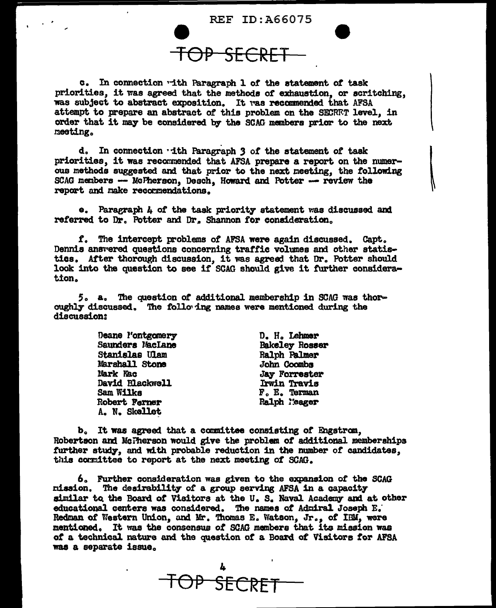

<del>JP SECRE</del>

c. In connection with Paragraph 1 of the statement of task priorities, it was agreed that the methods of exhaustion, or scritching, was subject to abstract exposition. It was recommended that AFSA attempt to prepare an abstract of this problem on the SECRET level, in order that it may be considered by the SCAG members prior to the next meeting.

d. In connection with Paragraph 3 of the statement of task priorities, it was recommended that AFSA prepare a report on the numerous methods suggested and that prior to the next meeting, the following SCAG members -- McPherson, Desch, Howard and Potter -- review the report and make recommendations.

e. Paragraph 4 of the task priority statement was discussed and referred to Dr. Potter and Dr. Shannon for consideration.

f. The intercept problems of AFSA were again discussed. Capt. Dennis answered questions concerning traffic volumes and other statisties. After thorough discussion, it was agreed that Dr. Potter should look into the question to see if SCAG should give it further consideration.

5. a. The question of additional membership in SCAG was thoroughly discussed. The following names were mentioned during the discussion:

> Deane l'ontgomery **Saunders MacLane** Stanislas Ulam Marshall Stone Mark Kac David Blackwell **Sam Wilks** Robert Ferner A. N. Skellet

D. H. Lehmer **Bakeley Rosser Ralph Palmer** John Coombs **Jay Forrester** Irwin Travis F. E. Terman Ralph Meager

b. It was agreed that a committee consisting of Engstrom. Robertson and McTherson would give the problem of additional memberships further study, and with probable reduction in the number of candidates. this cormittee to report at the next meeting of SCAG.

6. Further consideration was given to the expansion of the SCAG mission. The desirability of a group serving AFSA in a capacity similar to the Board of Visitors at the U.S. Naval Academy and at other educational centers was considered. The names of Admiral Joseph E. Redman of Western Union, and Mr. Thomas E. Watson, Jr., of IBM, were mentioned. It was the consensus of SCAG members that its mission was of a technical nature and the question of a Board of Visitors for AFSA was a separate issue.